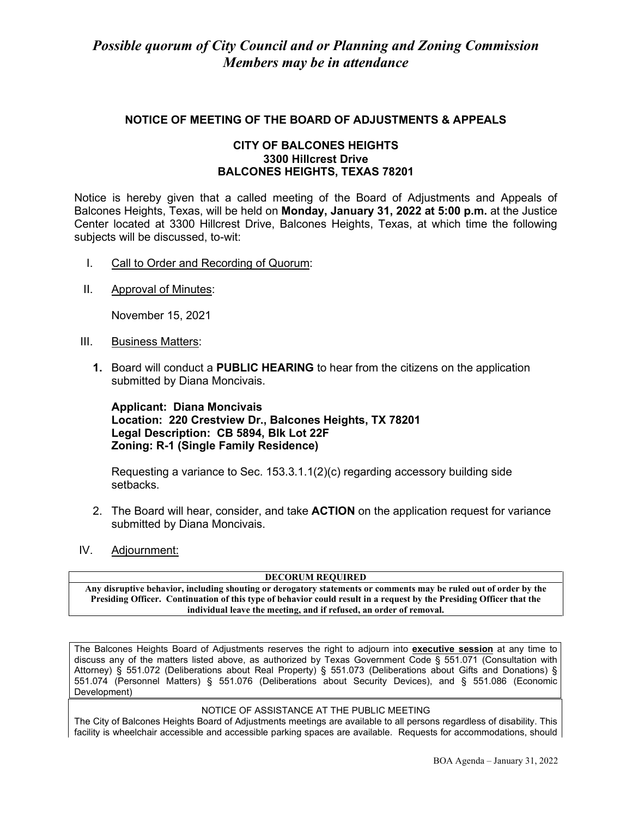## **NOTICE OF MEETING OF THE BOARD OF ADJUSTMENTS & APPEALS**

### **CITY OF BALCONES HEIGHTS 3300 Hillcrest Drive BALCONES HEIGHTS, TEXAS 78201**

Notice is hereby given that a called meeting of the Board of Adjustments and Appeals of Balcones Heights, Texas, will be held on **Monday, January 31, 2022 at 5:00 p.m.** at the Justice Center located at 3300 Hillcrest Drive, Balcones Heights, Texas, at which time the following subjects will be discussed, to-wit:

- I. Call to Order and Recording of Quorum:
- II. Approval of Minutes:

November 15, 2021

- III. Business Matters:
	- **1.** Board will conduct a **PUBLIC HEARING** to hear from the citizens on the application submitted by Diana Moncivais.

**Applicant: Diana Moncivais Location: 220 Crestview Dr., Balcones Heights, TX 78201 Legal Description: CB 5894, Blk Lot 22F Zoning: R-1 (Single Family Residence)**

Requesting a variance to Sec.  $153.3.1.1(2)(c)$  regarding accessory building side setbacks.

- 2. The Board will hear, consider, and take **ACTION** on the application request for variance submitted by Diana Moncivais.
- IV. Adjournment:

#### **DECORUM REQUIRED**

**Any disruptive behavior, including shouting or derogatory statements or comments may be ruled out of order by the Presiding Officer. Continuation of this type of behavior could result in a request by the Presiding Officer that the individual leave the meeting, and if refused, an order of removal.**

The Balcones Heights Board of Adjustments reserves the right to adjourn into **executive session** at any time to discuss any of the matters listed above, as authorized by Texas Government Code § 551.071 (Consultation with Attorney) § 551.072 (Deliberations about Real Property) § 551.073 (Deliberations about Gifts and Donations) § 551.074 (Personnel Matters) § 551.076 (Deliberations about Security Devices), and § 551.086 (Economic Development)

#### NOTICE OF ASSISTANCE AT THE PUBLIC MEETING

The City of Balcones Heights Board of Adjustments meetings are available to all persons regardless of disability. This facility is wheelchair accessible and accessible parking spaces are available. Requests for accommodations, should